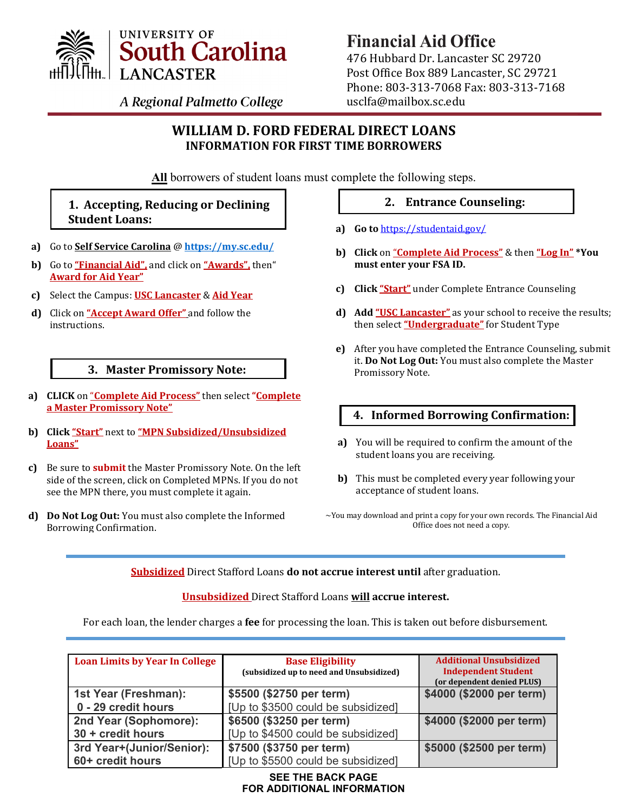

# **Financial Aid Office**

476 Hubbard Dr. Lancaster SC 29720 Post Office Box 889 Lancaster, SC 29721 Phone: 803‐313‐7068 Fax: 803‐313‐7168 usclfa@mailbox.sc.edu

A Regional Palmetto College

# **WILLIAM D. FORD FEDERAL DIRECT LOANS INFORMATION FOR FIRST TIME BORROWERS**

**All** borrowers of student loans must complete the following steps.

# **1. Accepting, Reducing or Declining Student Loans:**

- **a)** Go to **Self Service Carolina** @ **<https://my.sc.edu/>**
- **b)** Go to **"Financial Aid",** and click on **"Awards",** then" **Award for Aid Year"**
- **c)** Select the Campus: **USC Lancaster** & **Aid Year**
- **d)** Click on **"Accept Award Offer"** and follow the instructions.

# **3. Master Promissory Note:**

- **a) CLICK** on "**Complete Aid Process"** then select **"Complete a Master Promissory Note"**
- **b) Click "Start"** next to **"MPN Subsidized/Unsubsidized Loans"**
- **c)** Be sure to **submit** the Master Promissory Note. On the left side of the screen, click on Completed MPNs. If you do not see the MPN there, you must complete it again.
- **d) Do Not Log Out:** You must also complete the Informed Borrowing Confirmation.

## **2. Entrance Counseling:**

- **a) Go to** <https://studentaid.gov/>
- **b) Click** on "**Complete Aid Process"** & then **"Log In" \*You must enter your FSA ID.**
- **c) Click "Start"** under Complete Entrance Counseling
- **d) Add "USC Lancaster"** as your school to receive the results; then select **"Undergraduate"** for Student Type
- **e)** After you have completed the Entrance Counseling, submit it. **Do Not Log Out:** You must also complete the Master Promissory Note.

# **4. Informed Borrowing Confirmation:**

- **a)** You will be required to confirm the amount of the student loans you are receiving.
- **b)** This must be completed every year following your acceptance of student loans.
- ~You may download and print a copy for your own records. The Financial Aid Office does not need a copy.

**Subsidized** Direct Stafford Loans **do not accrue interest until** after graduation.

## **Unsubsidized** Direct Stafford Loans **will accrue interest.**

For each loan, the lender charges a **fee** for processing the loan. This is taken out before disbursement.

| <b>Loan Limits by Year In College</b> | <b>Base Eligibility</b><br>(subsidized up to need and Unsubsidized) | <b>Additional Unsubsidized</b><br><b>Independent Student</b><br>(or dependent denied PLUS) |
|---------------------------------------|---------------------------------------------------------------------|--------------------------------------------------------------------------------------------|
| 1st Year (Freshman):                  | \$5500 (\$2750 per term)                                            | \$4000 (\$2000 per term)                                                                   |
| 0 - 29 credit hours                   | [Up to \$3500 could be subsidized]                                  |                                                                                            |
| 2nd Year (Sophomore):                 | \$6500 (\$3250 per term)                                            | \$4000 (\$2000 per term)                                                                   |
| 30 + credit hours                     | [Up to \$4500 could be subsidized]                                  |                                                                                            |
| 3rd Year+(Junior/Senior):             | \$7500 (\$3750 per term)                                            | \$5000 (\$2500 per term)                                                                   |
| 60+ credit hours                      | [Up to \$5500 could be subsidized]                                  |                                                                                            |

#### **SEE THE BACK PAGE FOR ADDITIONAL INFORMATION**